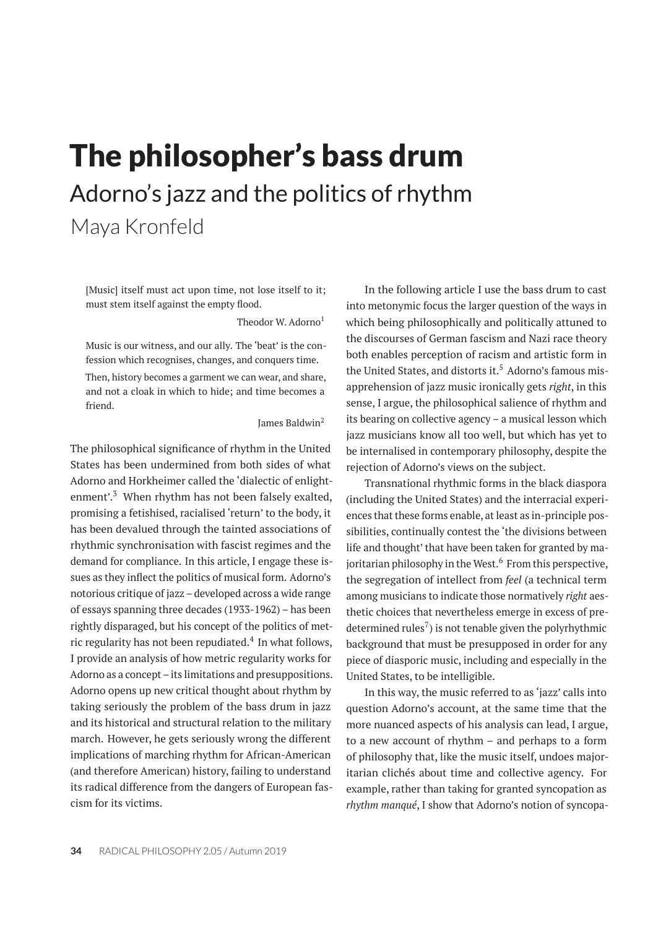# The philosopher's bass drum Adorno's jazz and the politics of rhythm

Maya Kronfeld

[Music] itself must act upon time, not lose itself to it; must stem itself against the empty flood.

Theodor W. Adorno<sup>1</sup>

Music is our witness, and our ally. The 'beat' is the confession which recognises, changes, and conquers time.

Then, history becomes a garment we can wear, and share, and not a cloak in which to hide; and time becomes a friend.

James Baldwin<sup>2</sup>

The philosophical significance of rhythm in the United States has been undermined from both sides of what Adorno and Horkheimer called the 'dialectic of enlightenment'.<sup>3</sup> When rhythm has not been falsely exalted, promising a fetishised, racialised 'return' to the body, it has been devalued through the tainted associations of rhythmic synchronisation with fascist regimes and the demand for compliance. In this article, I engage these issues as they inflect the politics of musical form. Adorno's notorious critique of jazz – developed across a wide range of essays spanning three decades (1933-1962) – has been rightly disparaged, but his concept of the politics of metric regularity has not been repudiated. $^4$  In what follows, I provide an analysis of how metric regularity works for Adorno as a concept – its limitations and presuppositions. Adorno opens up new critical thought about rhythm by taking seriously the problem of the bass drum in jazz and its historical and structural relation to the military march. However, he gets seriously wrong the different implications of marching rhythm for African-American (and therefore American) history, failing to understand its radical difference from the dangers of European fascism for its victims.

In the following article I use the bass drum to cast into metonymic focus the larger question of the ways in which being philosophically and politically attuned to the discourses of German fascism and Nazi race theory both enables perception of racism and artistic form in the United States, and distorts it.<sup>5</sup> Adorno's famous misapprehension of jazz music ironically gets *right*, in this sense, I argue, the philosophical salience of rhythm and its bearing on collective agency – a musical lesson which jazz musicians know all too well, but which has yet to be internalised in contemporary philosophy, despite the rejection of Adorno's views on the subject.

Transnational rhythmic forms in the black diaspora (including the United States) and the interracial experiences that these forms enable, at least as in-principle possibilities, continually contest the 'the divisions between life and thought' that have been taken for granted by majoritarian philosophy in the West.<sup>6</sup> From this perspective, the segregation of intellect from *feel* (a technical term among musicians to indicate those normatively *right* aesthetic choices that nevertheless emerge in excess of predetermined rules<sup>7</sup>) is not tenable given the polyrhythmic background that must be presupposed in order for any piece of diasporic music, including and especially in the United States, to be intelligible.

In this way, the music referred to as 'jazz' calls into question Adorno's account, at the same time that the more nuanced aspects of his analysis can lead, I argue, to a new account of rhythm – and perhaps to a form of philosophy that, like the music itself, undoes majoritarian clichés about time and collective agency. For example, rather than taking for granted syncopation as *rhythm manqué*, I show that Adorno's notion of syncopa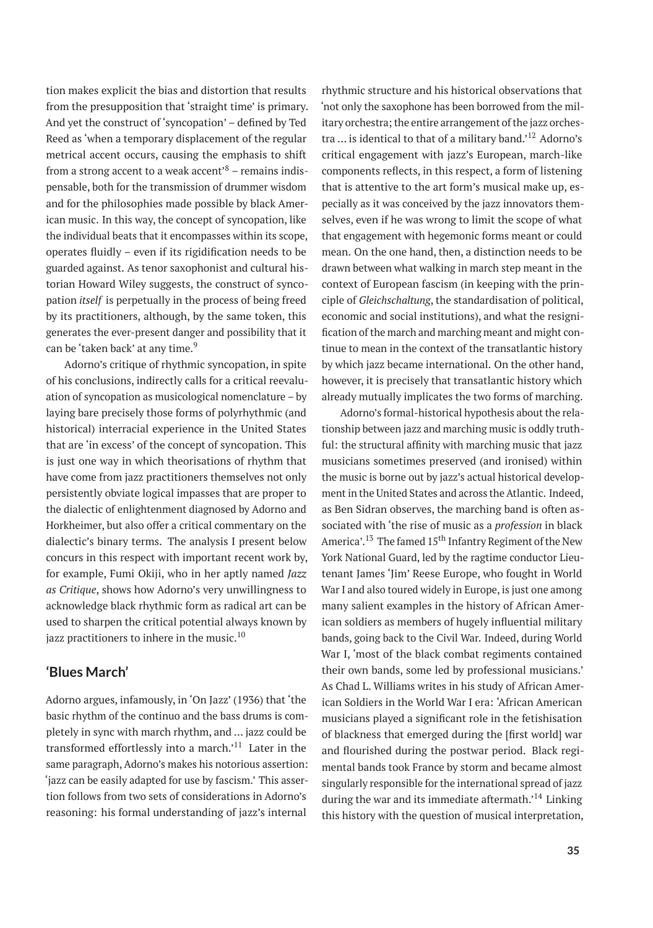tion makes explicit the bias and distortion that results from the presupposition that 'straight time' is primary. And yet the construct of 'syncopation' – defined by Ted Reed as 'when a temporary displacement of the regular metrical accent occurs, causing the emphasis to shift from a strong accent to a weak accent<sup> $8$ </sup> – remains indispensable, both for the transmission of drummer wisdom and for the philosophies made possible by black American music. In this way, the concept of syncopation, like the individual beats that it encompasses within its scope, operates fluidly – even if its rigidification needs to be guarded against. As tenor saxophonist and cultural historian Howard Wiley suggests, the construct of syncopation *itself* is perpetually in the process of being freed by its practitioners, although, by the same token, this generates the ever-present danger and possibility that it can be 'taken back' at any time.<sup>9</sup>

Adorno's critique of rhythmic syncopation, in spite of his conclusions, indirectly calls for a critical reevaluation of syncopation as musicological nomenclature – by laying bare precisely those forms of polyrhythmic (and historical) interracial experience in the United States that are 'in excess' of the concept of syncopation. This is just one way in which theorisations of rhythm that have come from jazz practitioners themselves not only persistently obviate logical impasses that are proper to the dialectic of enlightenment diagnosed by Adorno and Horkheimer, but also offer a critical commentary on the dialectic's binary terms. The analysis I present below concurs in this respect with important recent work by, for example, Fumi Okiji, who in her aptly named *Jazz as Critique*, shows how Adorno's very unwillingness to acknowledge black rhythmic form as radical art can be used to sharpen the critical potential always known by jazz practitioners to inhere in the music. $^{10}$ 

## **'Blues March'**

Adorno argues, infamously, in 'On Jazz' (1936) that 'the basic rhythm of the continuo and the bass drums is completely in sync with march rhythm, and … jazz could be transformed effortlessly into a march.'<sup>11</sup> Later in the same paragraph, Adorno's makes his notorious assertion: 'jazz can be easily adapted for use by fascism.' This assertion follows from two sets of considerations in Adorno's reasoning: his formal understanding of jazz's internal

rhythmic structure and his historical observations that 'not only the saxophone has been borrowed from the military orchestra; the entire arrangement of the jazz orchestra ... is identical to that of a military band.<sup>'12</sup> Adorno's critical engagement with jazz's European, march-like components reflects, in this respect, a form of listening that is attentive to the art form's musical make up, especially as it was conceived by the jazz innovators themselves, even if he was wrong to limit the scope of what that engagement with hegemonic forms meant or could mean. On the one hand, then, a distinction needs to be drawn between what walking in march step meant in the context of European fascism (in keeping with the principle of *Gleichschaltung*, the standardisation of political, economic and social institutions), and what the resignification of the march and marching meant and might continue to mean in the context of the transatlantic history by which jazz became international. On the other hand, however, it is precisely that transatlantic history which already mutually implicates the two forms of marching.

Adorno's formal-historical hypothesis about the relationship between jazz and marching music is oddly truthful: the structural affinity with marching music that jazz musicians sometimes preserved (and ironised) within the music is borne out by jazz's actual historical development in the United States and across the Atlantic. Indeed, as Ben Sidran observes, the marching band is often associated with 'the rise of music as a *profession* in black America'.<sup>13</sup> The famed 15<sup>th</sup> Infantry Regiment of the New York National Guard, led by the ragtime conductor Lieutenant James 'Jim' Reese Europe, who fought in World War I and also toured widely in Europe, is just one among many salient examples in the history of African American soldiers as members of hugely influential military bands, going back to the Civil War. Indeed, during World War I, 'most of the black combat regiments contained their own bands, some led by professional musicians.' As Chad L. Williams writes in his study of African American Soldiers in the World War I era: 'African American musicians played a significant role in the fetishisation of blackness that emerged during the [first world] war and flourished during the postwar period. Black regimental bands took France by storm and became almost singularly responsible for the international spread of jazz during the war and its immediate aftermath.<sup>14</sup> Linking this history with the question of musical interpretation,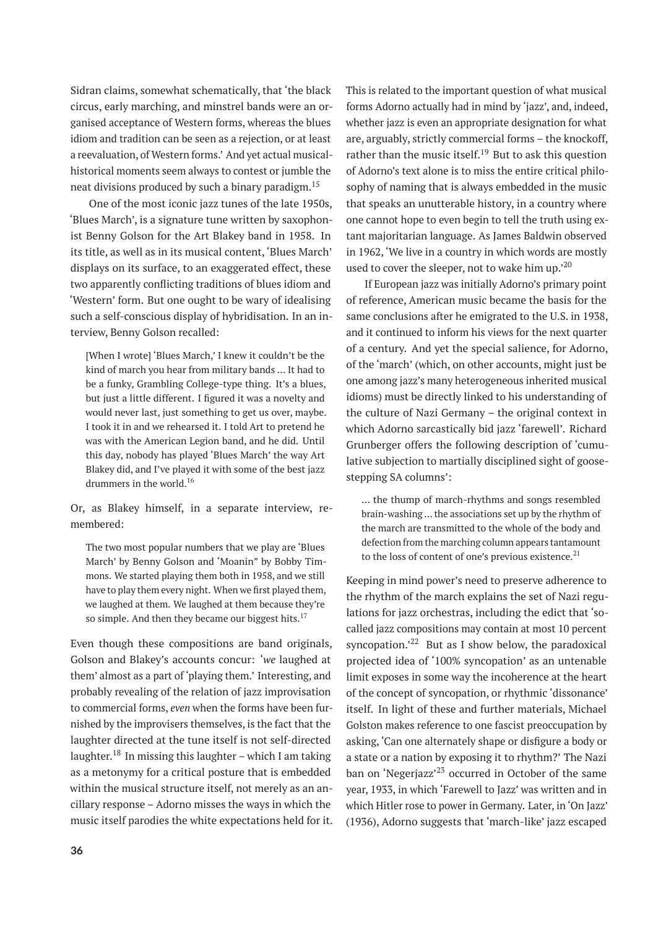Sidran claims, somewhat schematically, that 'the black circus, early marching, and minstrel bands were an organised acceptance of Western forms, whereas the blues idiom and tradition can be seen as a rejection, or at least a reevaluation, of Western forms.' And yet actual musicalhistorical moments seem always to contest or jumble the neat divisions produced by such a binary paradigm.<sup>15</sup>

One of the most iconic jazz tunes of the late 1950s, 'Blues March', is a signature tune written by saxophonist Benny Golson for the Art Blakey band in 1958. In its title, as well as in its musical content, 'Blues March' displays on its surface, to an exaggerated effect, these two apparently conflicting traditions of blues idiom and 'Western' form. But one ought to be wary of idealising such a self-conscious display of hybridisation. In an interview, Benny Golson recalled:

[When I wrote] 'Blues March,' I knew it couldn't be the kind of march you hear from military bands … It had to be a funky, Grambling College-type thing. It's a blues, but just a little different. I figured it was a novelty and would never last, just something to get us over, maybe. I took it in and we rehearsed it. I told Art to pretend he was with the American Legion band, and he did. Until this day, nobody has played 'Blues March' the way Art Blakey did, and I've played it with some of the best jazz drummers in the world.<sup>16</sup>

Or, as Blakey himself, in a separate interview, remembered:

The two most popular numbers that we play are 'Blues March' by Benny Golson and 'Moanin" by Bobby Timmons. We started playing them both in 1958, and we still have to play them every night. When we first played them, we laughed at them. We laughed at them because they're so simple. And then they became our biggest hits. $17$ 

Even though these compositions are band originals, Golson and Blakey's accounts concur: '*we* laughed at them' almost as a part of 'playing them.' Interesting, and probably revealing of the relation of jazz improvisation to commercial forms, *even* when the forms have been furnished by the improvisers themselves, is the fact that the laughter directed at the tune itself is not self-directed laughter.<sup>18</sup> In missing this laughter – which I am taking as a metonymy for a critical posture that is embedded within the musical structure itself, not merely as an ancillary response – Adorno misses the ways in which the music itself parodies the white expectations held for it. This is related to the important question of what musical forms Adorno actually had in mind by 'jazz', and, indeed, whether jazz is even an appropriate designation for what are, arguably, strictly commercial forms – the knockoff, rather than the music itself.<sup>19</sup> But to ask this question of Adorno's text alone is to miss the entire critical philosophy of naming that is always embedded in the music that speaks an unutterable history, in a country where one cannot hope to even begin to tell the truth using extant majoritarian language. As James Baldwin observed in 1962, 'We live in a country in which words are mostly used to cover the sleeper, not to wake him up.<sup>20</sup>

If European jazz was initially Adorno's primary point of reference, American music became the basis for the same conclusions after he emigrated to the U.S. in 1938, and it continued to inform his views for the next quarter of a century. And yet the special salience, for Adorno, of the 'march' (which, on other accounts, might just be one among jazz's many heterogeneous inherited musical idioms) must be directly linked to his understanding of the culture of Nazi Germany – the original context in which Adorno sarcastically bid jazz 'farewell'. Richard Grunberger offers the following description of 'cumulative subjection to martially disciplined sight of goosestepping SA columns':

… the thump of march-rhythms and songs resembled brain-washing … the associations set up by the rhythm of the march are transmitted to the whole of the body and defection from the marching column appears tantamount to the loss of content of one's previous existence.<sup>21</sup>

Keeping in mind power's need to preserve adherence to the rhythm of the march explains the set of Nazi regulations for jazz orchestras, including the edict that 'socalled jazz compositions may contain at most 10 percent syncopation.<sup>22</sup> But as I show below, the paradoxical projected idea of '100% syncopation' as an untenable limit exposes in some way the incoherence at the heart of the concept of syncopation, or rhythmic 'dissonance' itself. In light of these and further materials, Michael Golston makes reference to one fascist preoccupation by asking, 'Can one alternately shape or disfigure a body or a state or a nation by exposing it to rhythm?' The Nazi ban on 'Negerjazz'<sup>23</sup> occurred in October of the same year, 1933, in which 'Farewell to Jazz' was written and in which Hitler rose to power in Germany. Later, in 'On Jazz' (1936), Adorno suggests that 'march-like' jazz escaped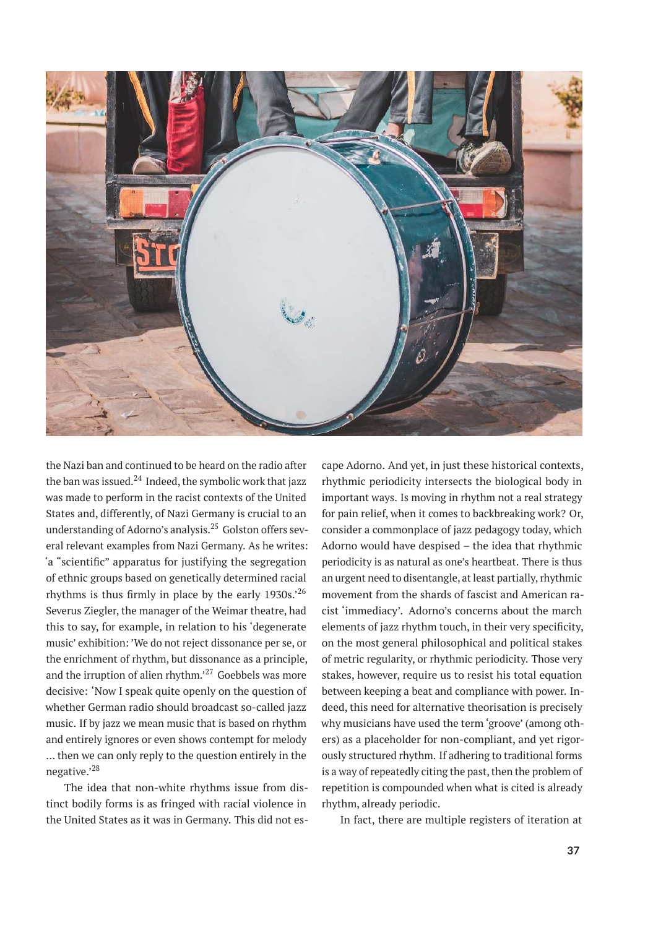

the Nazi ban and continued to be heard on the radio after the ban was issued. $^{24}$  Indeed, the symbolic work that jazz was made to perform in the racist contexts of the United States and, differently, of Nazi Germany is crucial to an understanding of Adorno's analysis.<sup>25</sup> Golston offers several relevant examples from Nazi Germany. As he writes: 'a "scientific" apparatus for justifying the segregation of ethnic groups based on genetically determined racial rhythms is thus firmly in place by the early 1930s.'<sup>26</sup> Severus Ziegler, the manager of the Weimar theatre, had this to say, for example, in relation to his 'degenerate music' exhibition: 'We do not reject dissonance per se, or the enrichment of rhythm, but dissonance as a principle, and the irruption of alien rhythm.'<sup>27</sup> Goebbels was more decisive: 'Now I speak quite openly on the question of whether German radio should broadcast so-called jazz music. If by jazz we mean music that is based on rhythm and entirely ignores or even shows contempt for melody … then we can only reply to the question entirely in the negative.'<sup>28</sup>

The idea that non-white rhythms issue from distinct bodily forms is as fringed with racial violence in the United States as it was in Germany. This did not escape Adorno. And yet, in just these historical contexts, rhythmic periodicity intersects the biological body in important ways. Is moving in rhythm not a real strategy for pain relief, when it comes to backbreaking work? Or, consider a commonplace of jazz pedagogy today, which Adorno would have despised – the idea that rhythmic periodicity is as natural as one's heartbeat. There is thus an urgent need to disentangle, at least partially, rhythmic movement from the shards of fascist and American racist 'immediacy'. Adorno's concerns about the march elements of jazz rhythm touch, in their very specificity, on the most general philosophical and political stakes of metric regularity, or rhythmic periodicity. Those very stakes, however, require us to resist his total equation between keeping a beat and compliance with power. Indeed, this need for alternative theorisation is precisely why musicians have used the term 'groove' (among others) as a placeholder for non-compliant, and yet rigorously structured rhythm. If adhering to traditional forms is a way of repeatedly citing the past, then the problem of repetition is compounded when what is cited is already rhythm, already periodic.

In fact, there are multiple registers of iteration at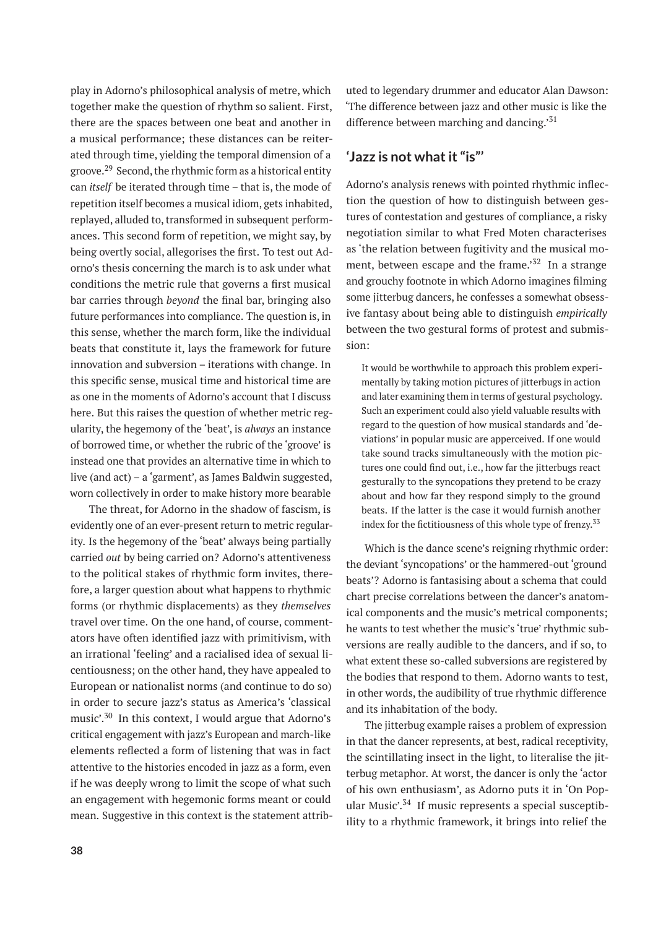play in Adorno's philosophical analysis of metre, which together make the question of rhythm so salient. First, there are the spaces between one beat and another in a musical performance; these distances can be reiterated through time, yielding the temporal dimension of a groove.<sup>29</sup> Second, the rhythmic form as a historical entity can *itself* be iterated through time – that is, the mode of repetition itself becomes a musical idiom, gets inhabited, replayed, alluded to, transformed in subsequent performances. This second form of repetition, we might say, by being overtly social, allegorises the first. To test out Adorno's thesis concerning the march is to ask under what conditions the metric rule that governs a first musical bar carries through *beyond* the final bar, bringing also future performances into compliance. The question is, in this sense, whether the march form, like the individual beats that constitute it, lays the framework for future innovation and subversion – iterations with change. In this specific sense, musical time and historical time are as one in the moments of Adorno's account that I discuss here. But this raises the question of whether metric regularity, the hegemony of the 'beat', is *always* an instance of borrowed time, or whether the rubric of the 'groove' is instead one that provides an alternative time in which to live (and act) – a 'garment', as James Baldwin suggested, worn collectively in order to make history more bearable

The threat, for Adorno in the shadow of fascism, is evidently one of an ever-present return to metric regularity. Is the hegemony of the 'beat' always being partially carried *out* by being carried on? Adorno's attentiveness to the political stakes of rhythmic form invites, therefore, a larger question about what happens to rhythmic forms (or rhythmic displacements) as they *themselves* travel over time. On the one hand, of course, commentators have often identified jazz with primitivism, with an irrational 'feeling' and a racialised idea of sexual licentiousness; on the other hand, they have appealed to European or nationalist norms (and continue to do so) in order to secure jazz's status as America's 'classical music'.<sup>30</sup> In this context, I would argue that Adorno's critical engagement with jazz's European and march-like elements reflected a form of listening that was in fact attentive to the histories encoded in jazz as a form, even if he was deeply wrong to limit the scope of what such an engagement with hegemonic forms meant or could mean. Suggestive in this context is the statement attributed to legendary drummer and educator Alan Dawson: 'The difference between jazz and other music is like the difference between marching and dancing.'<sup>31</sup>

# **'Jazz is not what it "is"'**

Adorno's analysis renews with pointed rhythmic inflection the question of how to distinguish between gestures of contestation and gestures of compliance, a risky negotiation similar to what Fred Moten characterises as 'the relation between fugitivity and the musical moment, between escape and the frame.<sup>'32</sup> In a strange and grouchy footnote in which Adorno imagines filming some jitterbug dancers, he confesses a somewhat obsessive fantasy about being able to distinguish *empirically* between the two gestural forms of protest and submission:

It would be worthwhile to approach this problem experimentally by taking motion pictures of jitterbugs in action and later examining them in terms of gestural psychology. Such an experiment could also yield valuable results with regard to the question of how musical standards and 'deviations' in popular music are apperceived. If one would take sound tracks simultaneously with the motion pictures one could find out, i.e., how far the jitterbugs react gesturally to the syncopations they pretend to be crazy about and how far they respond simply to the ground beats. If the latter is the case it would furnish another index for the fictitiousness of this whole type of frenzy.<sup>33</sup>

Which is the dance scene's reigning rhythmic order: the deviant 'syncopations' or the hammered-out 'ground beats'? Adorno is fantasising about a schema that could chart precise correlations between the dancer's anatomical components and the music's metrical components; he wants to test whether the music's 'true' rhythmic subversions are really audible to the dancers, and if so, to what extent these so-called subversions are registered by the bodies that respond to them. Adorno wants to test, in other words, the audibility of true rhythmic difference and its inhabitation of the body.

The jitterbug example raises a problem of expression in that the dancer represents, at best, radical receptivity, the scintillating insect in the light, to literalise the jitterbug metaphor. At worst, the dancer is only the 'actor of his own enthusiasm', as Adorno puts it in 'On Popular Music'.<sup>34</sup> If music represents a special susceptibility to a rhythmic framework, it brings into relief the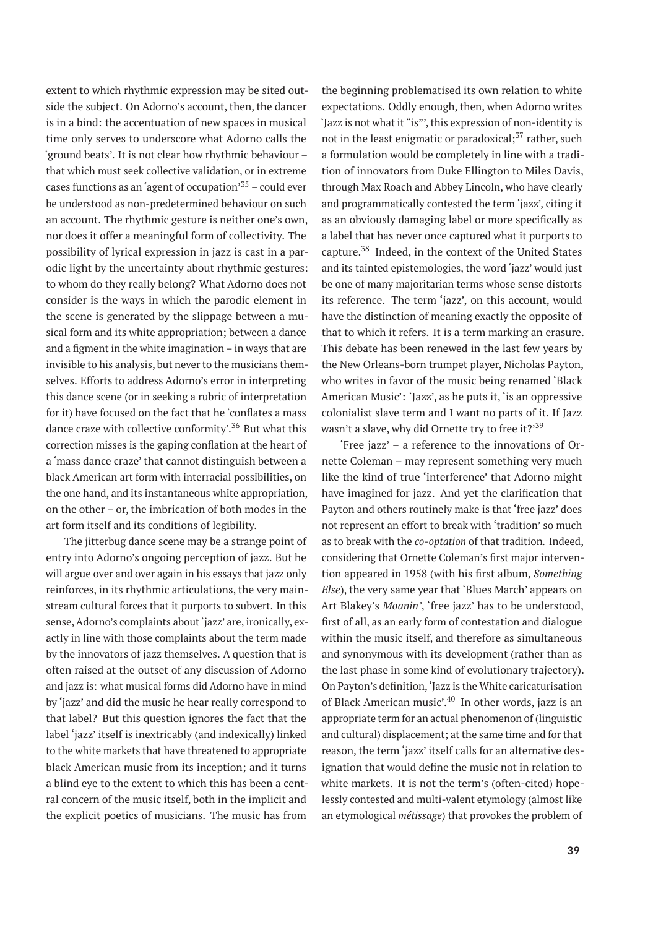extent to which rhythmic expression may be sited outside the subject. On Adorno's account, then, the dancer is in a bind: the accentuation of new spaces in musical time only serves to underscore what Adorno calls the 'ground beats'. It is not clear how rhythmic behaviour – that which must seek collective validation, or in extreme cases functions as an 'agent of occupation'<sup>35</sup> – could ever be understood as non-predetermined behaviour on such an account. The rhythmic gesture is neither one's own, nor does it offer a meaningful form of collectivity. The possibility of lyrical expression in jazz is cast in a parodic light by the uncertainty about rhythmic gestures: to whom do they really belong? What Adorno does not consider is the ways in which the parodic element in the scene is generated by the slippage between a musical form and its white appropriation; between a dance and a figment in the white imagination – in ways that are invisible to his analysis, but never to the musicians themselves. Efforts to address Adorno's error in interpreting this dance scene (or in seeking a rubric of interpretation for it) have focused on the fact that he 'conflates a mass dance craze with collective conformity'.<sup>36</sup> But what this correction misses is the gaping conflation at the heart of a 'mass dance craze' that cannot distinguish between a black American art form with interracial possibilities, on the one hand, and its instantaneous white appropriation, on the other – or, the imbrication of both modes in the art form itself and its conditions of legibility.

The jitterbug dance scene may be a strange point of entry into Adorno's ongoing perception of jazz. But he will argue over and over again in his essays that jazz only reinforces, in its rhythmic articulations, the very mainstream cultural forces that it purports to subvert. In this sense, Adorno's complaints about 'jazz' are, ironically, exactly in line with those complaints about the term made by the innovators of jazz themselves. A question that is often raised at the outset of any discussion of Adorno and jazz is: what musical forms did Adorno have in mind by 'jazz' and did the music he hear really correspond to that label? But this question ignores the fact that the label 'jazz' itself is inextricably (and indexically) linked to the white markets that have threatened to appropriate black American music from its inception; and it turns a blind eye to the extent to which this has been a central concern of the music itself, both in the implicit and the explicit poetics of musicians. The music has from

the beginning problematised its own relation to white expectations. Oddly enough, then, when Adorno writes 'Jazz is not what it "is"', this expression of non-identity is not in the least enigmatic or paradoxical; $37$  rather, such a formulation would be completely in line with a tradition of innovators from Duke Ellington to Miles Davis, through Max Roach and Abbey Lincoln, who have clearly and programmatically contested the term 'jazz', citing it as an obviously damaging label or more specifically as a label that has never once captured what it purports to capture.<sup>38</sup> Indeed, in the context of the United States and its tainted epistemologies, the word 'jazz' would just be one of many majoritarian terms whose sense distorts its reference. The term 'jazz', on this account, would have the distinction of meaning exactly the opposite of that to which it refers. It is a term marking an erasure. This debate has been renewed in the last few years by the New Orleans-born trumpet player, Nicholas Payton, who writes in favor of the music being renamed 'Black American Music': 'Jazz', as he puts it, 'is an oppressive colonialist slave term and I want no parts of it. If Jazz wasn't a slave, why did Ornette try to free it?'<sup>39</sup>

'Free jazz' – a reference to the innovations of Ornette Coleman – may represent something very much like the kind of true 'interference' that Adorno might have imagined for jazz. And yet the clarification that Payton and others routinely make is that 'free jazz' does not represent an effort to break with 'tradition' so much as to break with the *co-optation* of that tradition*.* Indeed, considering that Ornette Coleman's first major intervention appeared in 1958 (with his first album, *Something Else*), the very same year that 'Blues March' appears on Art Blakey's *Moanin'*, 'free jazz' has to be understood, first of all, as an early form of contestation and dialogue within the music itself, and therefore as simultaneous and synonymous with its development (rather than as the last phase in some kind of evolutionary trajectory). On Payton's definition,'Jazz is the White caricaturisation of Black American music'.<sup>40</sup> In other words, jazz is an appropriate term for an actual phenomenon of (linguistic and cultural) displacement; at the same time and for that reason, the term 'jazz' itself calls for an alternative designation that would define the music not in relation to white markets. It is not the term's (often-cited) hopelessly contested and multi-valent etymology (almost like an etymological *métissage*) that provokes the problem of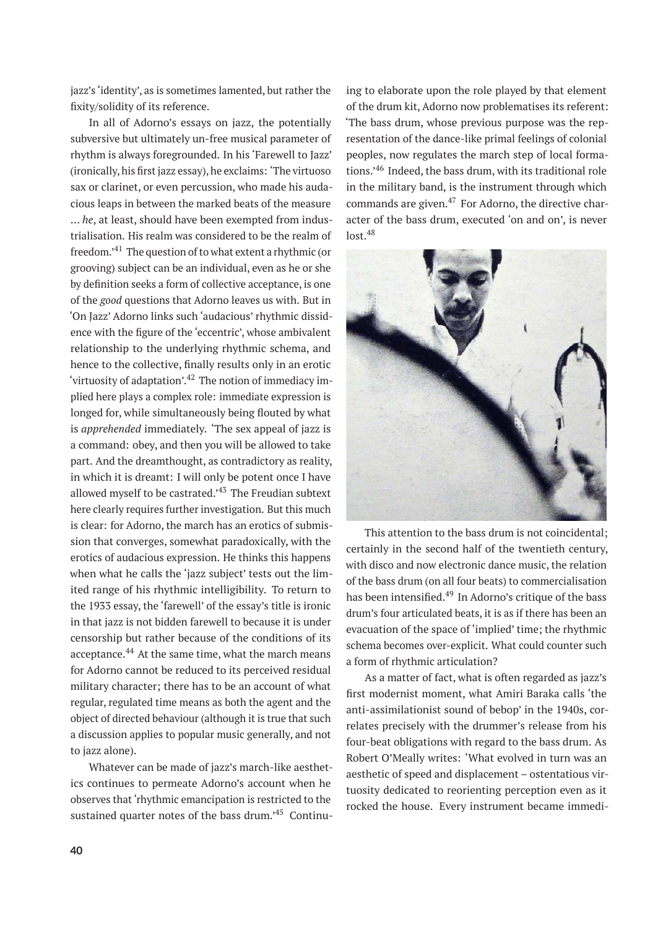jazz's 'identity', as is sometimes lamented, but rather the fixity/solidity of its reference.

In all of Adorno's essays on jazz, the potentially subversive but ultimately un-free musical parameter of rhythm is always foregrounded. In his 'Farewell to Jazz' (ironically, his first jazz essay), he exclaims: 'The virtuoso sax or clarinet, or even percussion, who made his audacious leaps in between the marked beats of the measure … *he*, at least, should have been exempted from industrialisation. His realm was considered to be the realm of freedom.'<sup>41</sup> The question of to what extent a rhythmic (or grooving) subject can be an individual, even as he or she by definition seeks a form of collective acceptance, is one of the *good* questions that Adorno leaves us with. But in 'On Jazz' Adorno links such 'audacious' rhythmic dissidence with the figure of the 'eccentric', whose ambivalent relationship to the underlying rhythmic schema, and hence to the collective, finally results only in an erotic 'virtuosity of adaptation'.<sup>42</sup> The notion of immediacy implied here plays a complex role: immediate expression is longed for, while simultaneously being flouted by what is *apprehended* immediately*.* 'The sex appeal of jazz is a command: obey, and then you will be allowed to take part. And the dreamthought, as contradictory as reality, in which it is dreamt: I will only be potent once I have allowed myself to be castrated.'<sup>43</sup> The Freudian subtext here clearly requires further investigation. But this much is clear: for Adorno, the march has an erotics of submission that converges, somewhat paradoxically, with the erotics of audacious expression. He thinks this happens when what he calls the 'jazz subject' tests out the limited range of his rhythmic intelligibility. To return to the 1933 essay, the 'farewell' of the essay's title is ironic in that jazz is not bidden farewell to because it is under censorship but rather because of the conditions of its acceptance.<sup>44</sup> At the same time, what the march means for Adorno cannot be reduced to its perceived residual military character; there has to be an account of what regular, regulated time means as both the agent and the object of directed behaviour (although it is true that such a discussion applies to popular music generally, and not to jazz alone).

Whatever can be made of jazz's march-like aesthetics continues to permeate Adorno's account when he observes that 'rhythmic emancipation is restricted to the sustained quarter notes of the bass drum.'<sup>45</sup> Continuing to elaborate upon the role played by that element of the drum kit, Adorno now problematises its referent: 'The bass drum, whose previous purpose was the representation of the dance-like primal feelings of colonial peoples, now regulates the march step of local formations.'<sup>46</sup> Indeed, the bass drum, with its traditional role in the military band, is the instrument through which commands are given. $47$  For Adorno, the directive character of the bass drum, executed 'on and on', is never lost.<sup>48</sup>



This attention to the bass drum is not coincidental; certainly in the second half of the twentieth century, with disco and now electronic dance music, the relation of the bass drum (on all four beats) to commercialisation has been intensified.<sup>49</sup> In Adorno's critique of the bass drum's four articulated beats, it is as if there has been an evacuation of the space of 'implied' time; the rhythmic schema becomes over-explicit. What could counter such a form of rhythmic articulation?

As a matter of fact, what is often regarded as jazz's first modernist moment, what Amiri Baraka calls 'the anti-assimilationist sound of bebop' in the 1940s, correlates precisely with the drummer's release from his four-beat obligations with regard to the bass drum. As Robert O'Meally writes: 'What evolved in turn was an aesthetic of speed and displacement – ostentatious virtuosity dedicated to reorienting perception even as it rocked the house. Every instrument became immedi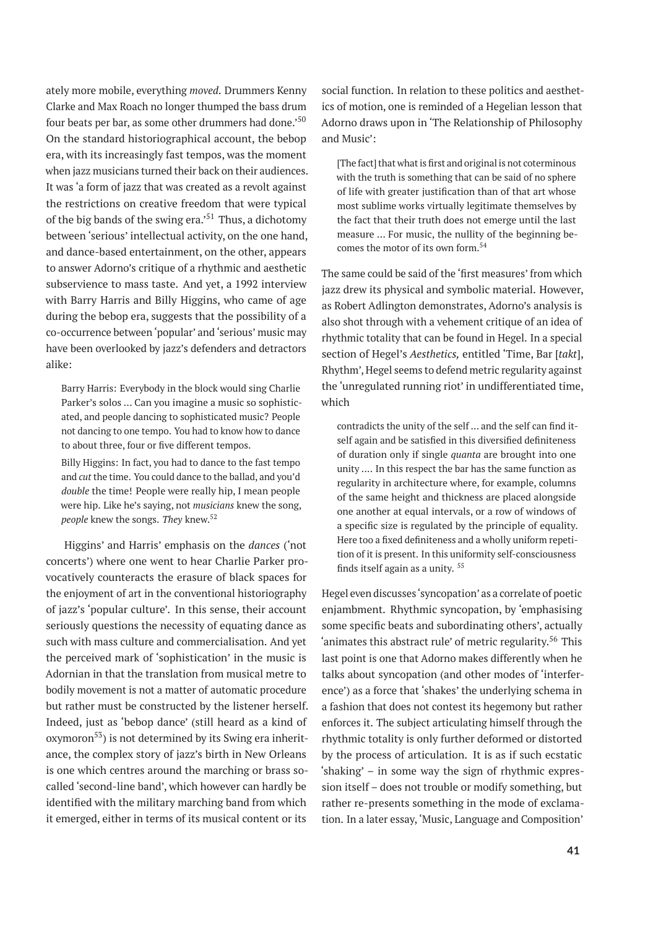ately more mobile, everything *moved*. Drummers Kenny Clarke and Max Roach no longer thumped the bass drum four beats per bar, as some other drummers had done.<sup>50</sup> On the standard historiographical account, the bebop era, with its increasingly fast tempos, was the moment when jazz musicians turned their back on their audiences. It was 'a form of jazz that was created as a revolt against the restrictions on creative freedom that were typical of the big bands of the swing era.<sup> $51$ </sup> Thus, a dichotomy between 'serious' intellectual activity, on the one hand, and dance-based entertainment, on the other, appears to answer Adorno's critique of a rhythmic and aesthetic subservience to mass taste. And yet, a 1992 interview with Barry Harris and Billy Higgins, who came of age during the bebop era, suggests that the possibility of a co-occurrence between 'popular' and 'serious' music may have been overlooked by jazz's defenders and detractors alike:

Barry Harris: Everybody in the block would sing Charlie Parker's solos … Can you imagine a music so sophisticated, and people dancing to sophisticated music? People not dancing to one tempo. You had to know how to dance to about three, four or five different tempos.

Billy Higgins: In fact, you had to dance to the fast tempo and *cut* the time. You could dance to the ballad, and you'd *double* the time! People were really hip, I mean people were hip. Like he's saying, not *musicians* knew the song, *people* knew the songs. *They* knew.<sup>52</sup>

Higgins' and Harris' emphasis on the *dances* ('not concerts') where one went to hear Charlie Parker provocatively counteracts the erasure of black spaces for the enjoyment of art in the conventional historiography of jazz's 'popular culture'. In this sense, their account seriously questions the necessity of equating dance as such with mass culture and commercialisation. And yet the perceived mark of 'sophistication' in the music is Adornian in that the translation from musical metre to bodily movement is not a matter of automatic procedure but rather must be constructed by the listener herself. Indeed, just as 'bebop dance' (still heard as a kind of  $oxymoron<sup>53</sup>$  is not determined by its Swing era inheritance, the complex story of jazz's birth in New Orleans is one which centres around the marching or brass socalled 'second-line band', which however can hardly be identified with the military marching band from which it emerged, either in terms of its musical content or its

social function. In relation to these politics and aesthetics of motion, one is reminded of a Hegelian lesson that Adorno draws upon in 'The Relationship of Philosophy and Music':

[The fact] that what is first and original is not coterminous with the truth is something that can be said of no sphere of life with greater justification than of that art whose most sublime works virtually legitimate themselves by the fact that their truth does not emerge until the last measure … For music, the nullity of the beginning becomes the motor of its own form.<sup>54</sup>

The same could be said of the 'first measures' from which jazz drew its physical and symbolic material. However, as Robert Adlington demonstrates, Adorno's analysis is also shot through with a vehement critique of an idea of rhythmic totality that can be found in Hegel. In a special section of Hegel's *Aesthetics,* entitled 'Time, Bar [*takt*], Rhythm', Hegel seems to defend metric regularity against the 'unregulated running riot' in undifferentiated time, which

contradicts the unity of the self … and the self can find itself again and be satisfied in this diversified definiteness of duration only if single *quanta* are brought into one unity .... In this respect the bar has the same function as regularity in architecture where, for example, columns of the same height and thickness are placed alongside one another at equal intervals, or a row of windows of a specific size is regulated by the principle of equality. Here too a fixed definiteness and a wholly uniform repetition of it is present. In this uniformity self-consciousness finds itself again as a unity.  $55$ 

Hegel even discusses'syncopation' as a correlate of poetic enjambment. Rhythmic syncopation, by 'emphasising some specific beats and subordinating others', actually 'animates this abstract rule' of metric regularity.<sup>56</sup> This last point is one that Adorno makes differently when he talks about syncopation (and other modes of 'interference') as a force that 'shakes' the underlying schema in a fashion that does not contest its hegemony but rather enforces it. The subject articulating himself through the rhythmic totality is only further deformed or distorted by the process of articulation. It is as if such ecstatic 'shaking' – in some way the sign of rhythmic expression itself – does not trouble or modify something, but rather re-presents something in the mode of exclamation. In a later essay, 'Music, Language and Composition'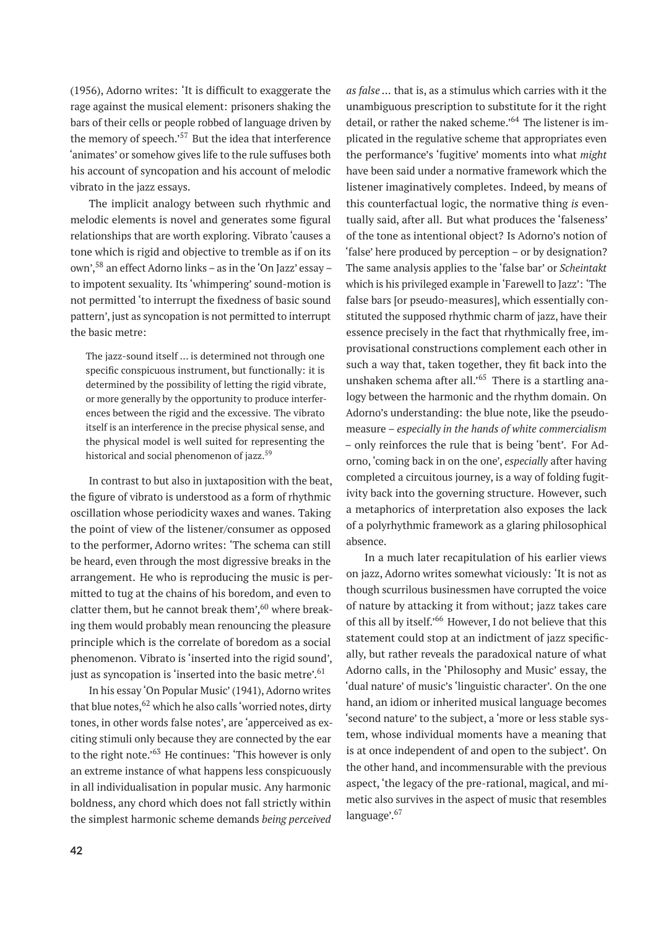(1956), Adorno writes: 'It is difficult to exaggerate the rage against the musical element: prisoners shaking the bars of their cells or people robbed of language driven by the memory of speech. $157$  But the idea that interference 'animates' or somehow gives life to the rule suffuses both his account of syncopation and his account of melodic vibrato in the jazz essays.

The implicit analogy between such rhythmic and melodic elements is novel and generates some figural relationships that are worth exploring. Vibrato 'causes a tone which is rigid and objective to tremble as if on its own',<sup>58</sup> an effect Adorno links – as in the 'On Jazz' essay – to impotent sexuality. Its 'whimpering' sound-motion is not permitted 'to interrupt the fixedness of basic sound pattern', just as syncopation is not permitted to interrupt the basic metre:

The jazz-sound itself … is determined not through one specific conspicuous instrument, but functionally: it is determined by the possibility of letting the rigid vibrate, or more generally by the opportunity to produce interferences between the rigid and the excessive. The vibrato itself is an interference in the precise physical sense, and the physical model is well suited for representing the historical and social phenomenon of jazz.<sup>59</sup>

In contrast to but also in juxtaposition with the beat, the figure of vibrato is understood as a form of rhythmic oscillation whose periodicity waxes and wanes. Taking the point of view of the listener/consumer as opposed to the performer, Adorno writes: 'The schema can still be heard, even through the most digressive breaks in the arrangement. He who is reproducing the music is permitted to tug at the chains of his boredom, and even to clatter them, but he cannot break them', $60$  where breaking them would probably mean renouncing the pleasure principle which is the correlate of boredom as a social phenomenon. Vibrato is 'inserted into the rigid sound', just as syncopation is 'inserted into the basic metre'.<sup>61</sup>

In his essay 'On Popular Music' (1941), Adorno writes that blue notes,  $62$  which he also calls 'worried notes, dirty tones, in other words false notes', are 'apperceived as exciting stimuli only because they are connected by the ear to the right note.'<sup>63</sup> He continues: 'This however is only an extreme instance of what happens less conspicuously in all individualisation in popular music. Any harmonic boldness, any chord which does not fall strictly within the simplest harmonic scheme demands *being perceived*

*as false …* that is, as a stimulus which carries with it the unambiguous prescription to substitute for it the right detail, or rather the naked scheme.<sup>'64</sup> The listener is implicated in the regulative scheme that appropriates even the performance's 'fugitive' moments into what *might* have been said under a normative framework which the listener imaginatively completes. Indeed, by means of this counterfactual logic, the normative thing *is* eventually said, after all. But what produces the 'falseness' of the tone as intentional object? Is Adorno's notion of 'false' here produced by perception – or by designation? The same analysis applies to the 'false bar' or *Scheintakt* which is his privileged example in 'Farewell to Jazz': 'The false bars [or pseudo-measures], which essentially constituted the supposed rhythmic charm of jazz, have their essence precisely in the fact that rhythmically free, improvisational constructions complement each other in such a way that, taken together, they fit back into the unshaken schema after all.<sup> $65$ </sup> There is a startling analogy between the harmonic and the rhythm domain. On Adorno's understanding: the blue note, like the pseudomeasure – *especially in the hands of white commercialism* – only reinforces the rule that is being 'bent'. For Adorno, 'coming back in on the one', *especially* after having completed a circuitous journey, is a way of folding fugitivity back into the governing structure. However, such a metaphorics of interpretation also exposes the lack of a polyrhythmic framework as a glaring philosophical absence.

In a much later recapitulation of his earlier views on jazz, Adorno writes somewhat viciously: 'It is not as though scurrilous businessmen have corrupted the voice of nature by attacking it from without; jazz takes care of this all by itself.'<sup>66</sup> However, I do not believe that this statement could stop at an indictment of jazz specifically, but rather reveals the paradoxical nature of what Adorno calls, in the 'Philosophy and Music' essay, the 'dual nature' of music's 'linguistic character'. On the one hand, an idiom or inherited musical language becomes 'second nature' to the subject, a 'more or less stable system, whose individual moments have a meaning that is at once independent of and open to the subject'. On the other hand, and incommensurable with the previous aspect, 'the legacy of the pre-rational, magical, and mimetic also survives in the aspect of music that resembles language'.<sup>67</sup>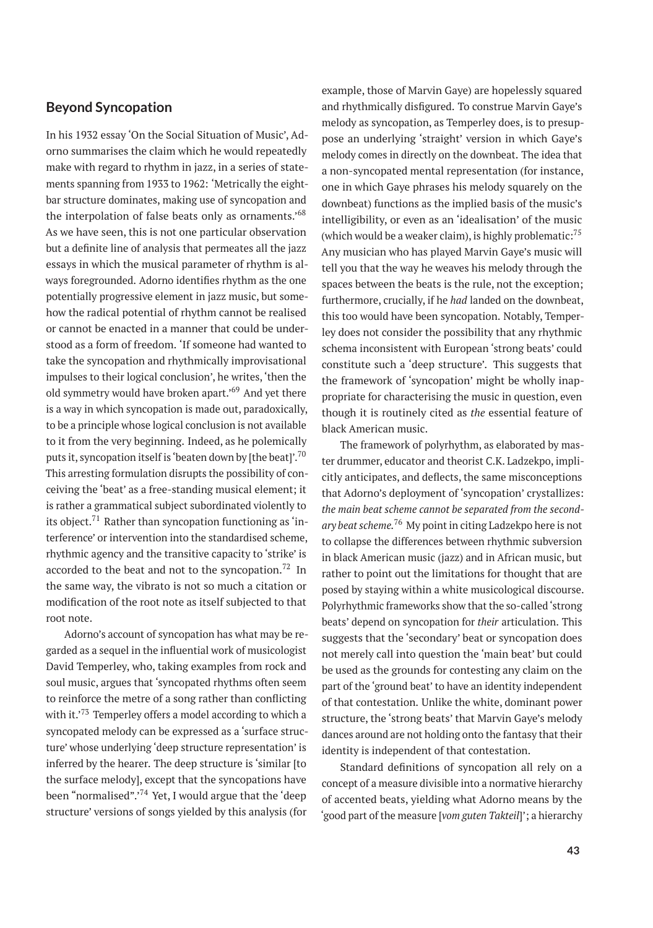## **Beyond Syncopation**

In his 1932 essay 'On the Social Situation of Music', Adorno summarises the claim which he would repeatedly make with regard to rhythm in jazz, in a series of statements spanning from 1933 to 1962: 'Metrically the eightbar structure dominates, making use of syncopation and the interpolation of false beats only as ornaments.'<sup>68</sup> As we have seen, this is not one particular observation but a definite line of analysis that permeates all the jazz essays in which the musical parameter of rhythm is always foregrounded. Adorno identifies rhythm as the one potentially progressive element in jazz music, but somehow the radical potential of rhythm cannot be realised or cannot be enacted in a manner that could be understood as a form of freedom. 'If someone had wanted to take the syncopation and rhythmically improvisational impulses to their logical conclusion', he writes, 'then the old symmetry would have broken apart.'<sup>69</sup> And yet there is a way in which syncopation is made out, paradoxically, to be a principle whose logical conclusion is not available to it from the very beginning. Indeed, as he polemically puts it, syncopation itself is 'beaten down by [the beat]'.<sup>70</sup> This arresting formulation disrupts the possibility of conceiving the 'beat' as a free-standing musical element; it is rather a grammatical subject subordinated violently to its object. $71$  Rather than syncopation functioning as 'interference' or intervention into the standardised scheme, rhythmic agency and the transitive capacity to 'strike' is accorded to the beat and not to the syncopation.<sup>72</sup> In the same way, the vibrato is not so much a citation or modification of the root note as itself subjected to that root note.

Adorno's account of syncopation has what may be regarded as a sequel in the influential work of musicologist David Temperley, who, taking examples from rock and soul music, argues that 'syncopated rhythms often seem to reinforce the metre of a song rather than conflicting with it.'73 Temperley offers a model according to which a syncopated melody can be expressed as a 'surface structure' whose underlying 'deep structure representation' is inferred by the hearer. The deep structure is 'similar [to the surface melody], except that the syncopations have been "normalised".<sup>74</sup> Yet, I would argue that the 'deep structure' versions of songs yielded by this analysis (for

example, those of Marvin Gaye) are hopelessly squared and rhythmically disfigured. To construe Marvin Gaye's melody as syncopation, as Temperley does, is to presuppose an underlying 'straight' version in which Gaye's melody comes in directly on the downbeat. The idea that a non-syncopated mental representation (for instance, one in which Gaye phrases his melody squarely on the downbeat) functions as the implied basis of the music's intelligibility, or even as an 'idealisation' of the music (which would be a weaker claim), is highly problematic: $^{75}$ Any musician who has played Marvin Gaye's music will tell you that the way he weaves his melody through the spaces between the beats is the rule, not the exception; furthermore, crucially, if he *had* landed on the downbeat, this too would have been syncopation. Notably, Temperley does not consider the possibility that any rhythmic schema inconsistent with European 'strong beats' could constitute such a 'deep structure'. This suggests that the framework of 'syncopation' might be wholly inappropriate for characterising the music in question, even though it is routinely cited as *the* essential feature of black American music.

The framework of polyrhythm, as elaborated by master drummer, educator and theorist C.K. Ladzekpo, implicitly anticipates, and deflects, the same misconceptions that Adorno's deployment of 'syncopation' crystallizes: *the main beat scheme cannot be separated from the secondary beat scheme.*<sup>76</sup> My point in citing Ladzekpo here is not to collapse the differences between rhythmic subversion in black American music (jazz) and in African music, but rather to point out the limitations for thought that are posed by staying within a white musicological discourse. Polyrhythmic frameworks show that the so-called 'strong beats' depend on syncopation for *their* articulation. This suggests that the 'secondary' beat or syncopation does not merely call into question the 'main beat' but could be used as the grounds for contesting any claim on the part of the 'ground beat' to have an identity independent of that contestation. Unlike the white, dominant power structure, the 'strong beats' that Marvin Gaye's melody dances around are not holding onto the fantasy that their identity is independent of that contestation.

Standard definitions of syncopation all rely on a concept of a measure divisible into a normative hierarchy of accented beats, yielding what Adorno means by the 'good part of the measure [*vom guten Takteil*]'; a hierarchy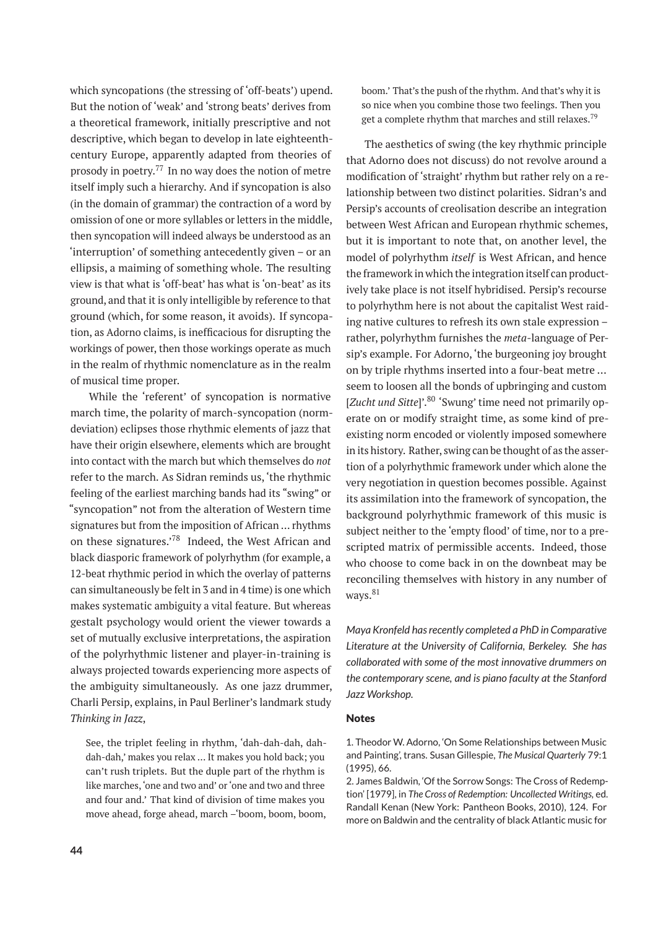which syncopations (the stressing of 'off-beats') upend. But the notion of 'weak' and 'strong beats' derives from a theoretical framework, initially prescriptive and not descriptive, which began to develop in late eighteenthcentury Europe, apparently adapted from theories of prosody in poetry.<sup>77</sup> In no way does the notion of metre itself imply such a hierarchy. And if syncopation is also (in the domain of grammar) the contraction of a word by omission of one or more syllables or letters in the middle, then syncopation will indeed always be understood as an 'interruption' of something antecedently given – or an ellipsis, a maiming of something whole. The resulting view is that what is 'off-beat' has what is 'on-beat' as its ground, and that it is only intelligible by reference to that ground (which, for some reason, it avoids). If syncopation, as Adorno claims, is inefficacious for disrupting the workings of power, then those workings operate as much in the realm of rhythmic nomenclature as in the realm of musical time proper.

While the 'referent' of syncopation is normative march time, the polarity of march-syncopation (normdeviation) eclipses those rhythmic elements of jazz that have their origin elsewhere, elements which are brought into contact with the march but which themselves do *not* refer to the march. As Sidran reminds us, 'the rhythmic feeling of the earliest marching bands had its "swing" or "syncopation" not from the alteration of Western time signatures but from the imposition of African … rhythms on these signatures.'<sup>78</sup> Indeed, the West African and black diasporic framework of polyrhythm (for example, a 12-beat rhythmic period in which the overlay of patterns can simultaneously be felt in 3 and in 4 time) is one which makes systematic ambiguity a vital feature. But whereas gestalt psychology would orient the viewer towards a set of mutually exclusive interpretations, the aspiration of the polyrhythmic listener and player-in-training is always projected towards experiencing more aspects of the ambiguity simultaneously. As one jazz drummer, Charli Persip, explains, in Paul Berliner's landmark study *Thinking in Jazz*,

See, the triplet feeling in rhythm, 'dah-dah-dah, dahdah-dah,' makes you relax … It makes you hold back; you can't rush triplets. But the duple part of the rhythm is like marches,'one and two and' or 'one and two and three and four and.' That kind of division of time makes you move ahead, forge ahead, march –'boom, boom, boom,

boom.' That's the push of the rhythm. And that's why it is so nice when you combine those two feelings. Then you get a complete rhythm that marches and still relaxes.<sup>79</sup>

The aesthetics of swing (the key rhythmic principle that Adorno does not discuss) do not revolve around a modification of 'straight' rhythm but rather rely on a relationship between two distinct polarities. Sidran's and Persip's accounts of creolisation describe an integration between West African and European rhythmic schemes, but it is important to note that, on another level, the model of polyrhythm *itself* is West African, and hence the framework in which the integration itself can productively take place is not itself hybridised. Persip's recourse to polyrhythm here is not about the capitalist West raiding native cultures to refresh its own stale expression – rather, polyrhythm furnishes the *meta-*language of Persip's example. For Adorno, 'the burgeoning joy brought on by triple rhythms inserted into a four-beat metre … seem to loosen all the bonds of upbringing and custom [*Zucht und Sitte*]'.<sup>80</sup> 'Swung' time need not primarily operate on or modify straight time, as some kind of preexisting norm encoded or violently imposed somewhere in its history. Rather, swing can be thought of as the assertion of a polyrhythmic framework under which alone the very negotiation in question becomes possible. Against its assimilation into the framework of syncopation, the background polyrhythmic framework of this music is subject neither to the 'empty flood' of time, nor to a prescripted matrix of permissible accents. Indeed, those who choose to come back in on the downbeat may be reconciling themselves with history in any number of ways.<sup>81</sup>

*Maya Kronfeld has recently completed a PhD in Comparative Literature at the University of California, Berkeley. She has collaborated with some of the most innovative drummers on the contemporary scene, and is piano faculty at the Stanford Jazz Workshop.*

#### Notes

<sup>1.</sup> Theodor W. Adorno, 'On Some Relationships between Music and Painting', trans. Susan Gillespie, *The Musical Quarterly* 79:1 (1995), 66.

<sup>2.</sup> James Baldwin, 'Of the Sorrow Songs: The Cross of Redemption' [1979], in *The Cross of Redemption: Uncollected Writings,* ed. Randall Kenan (New York: Pantheon Books, 2010), 124. For more on Baldwin and the centrality of black Atlantic music for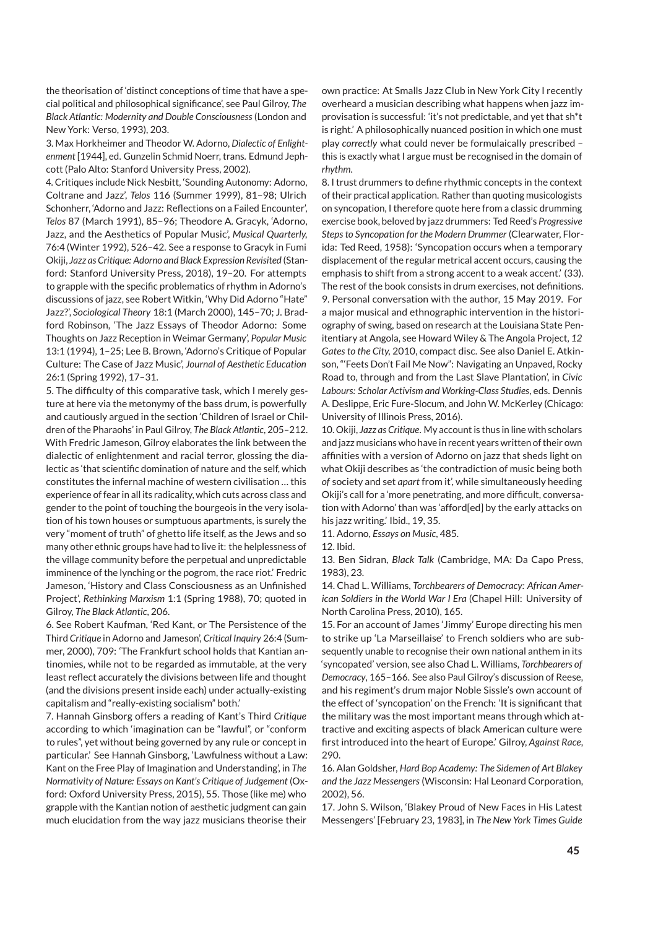the theorisation of 'distinct conceptions of time that have a special political and philosophical significance', see Paul Gilroy, *The Black Atlantic: Modernity and Double Consciousness* (London and New York: Verso, 1993), 203.

3. Max Horkheimer and Theodor W. Adorno, *Dialectic of Enlightenment* [1944], ed. Gunzelin Schmid Noerr, trans. Edmund Jephcott (Palo Alto: Stanford University Press, 2002)*.*

4. Critiques include Nick Nesbitt, 'Sounding Autonomy: Adorno, Coltrane and Jazz', *Telos* 116 (Summer 1999), 81–98; Ulrich Schonherr, 'Adorno and Jazz: Reflections on a Failed Encounter', *Telos* 87 (March 1991), 85–96; Theodore A. Gracyk, 'Adorno, Jazz, and the Aesthetics of Popular Music', *Musical Quarterly,* 76:4 (Winter 1992), 526–42. See a response to Gracyk in Fumi Okiji, *Jazz as Critique: Adorno and Black Expression Revisited* (Stanford: Stanford University Press, 2018), 19–20. For attempts to grapple with the specific problematics of rhythm in Adorno's discussions of jazz, see Robert Witkin, 'Why Did Adorno "Hate" Jazz?', *Sociological Theory* 18:1 (March 2000), 145–70; J. Bradford Robinson, 'The Jazz Essays of Theodor Adorno: Some Thoughts on Jazz Reception in Weimar Germany', *Popular Music* 13:1 (1994), 1–25; Lee B. Brown, 'Adorno's Critique of Popular Culture: The Case of Jazz Music', *Journal of Aesthetic Education* 26:1 (Spring 1992), 17–31.

5. The difficulty of this comparative task, which I merely gesture at here via the metonymy of the bass drum, is powerfully and cautiously argued in the section 'Children of Israel or Children of the Pharaohs' in Paul Gilroy, *The Black Atlantic*, 205–212. With Fredric Jameson, Gilroy elaborates the link between the dialectic of enlightenment and racial terror, glossing the dialectic as 'that scientific domination of nature and the self, which constitutes the infernal machine of western civilisation … this experience of fear in all its radicality, which cuts across class and gender to the point of touching the bourgeois in the very isolation of his town houses or sumptuous apartments, is surely the very "moment of truth" of ghetto life itself, as the Jews and so many other ethnic groups have had to live it: the helplessness of the village community before the perpetual and unpredictable imminence of the lynching or the pogrom, the race riot.' Fredric Jameson, 'History and Class Consciousness as an Unfinished Project', *Rethinking Marxism* 1:1 (Spring 1988), 70; quoted in Gilroy, *The Black Atlantic*, 206.

6. See Robert Kaufman, 'Red Kant, or The Persistence of the Third *Critique* in Adorno and Jameson', *Critical Inquiry* 26:4 (Summer, 2000), 709: 'The Frankfurt school holds that Kantian antinomies, while not to be regarded as immutable, at the very least reflect accurately the divisions between life and thought (and the divisions present inside each) under actually-existing capitalism and "really-existing socialism" both.'

7. Hannah Ginsborg offers a reading of Kant's Third *Critique* according to which 'imagination can be "lawful", or "conform to rules", yet without being governed by any rule or concept in particular.' See Hannah Ginsborg, 'Lawfulness without a Law: Kant on the Free Play of Imagination and Understanding', in *The Normativity of Nature: Essays on Kant's Critique of Judgement* (Oxford: Oxford University Press, 2015), 55. Those (like me) who grapple with the Kantian notion of aesthetic judgment can gain much elucidation from the way jazz musicians theorise their

own practice: At Smalls Jazz Club in New York City I recently overheard a musician describing what happens when jazz improvisation is successful: 'it's not predictable, and yet that sh\*t is right.' A philosophically nuanced position in which one must play *correctly* what could never be formulaically prescribed – this is exactly what I argue must be recognised in the domain of *rhythm*.

8. I trust drummers to define rhythmic concepts in the context of their practical application. Rather than quoting musicologists on syncopation, I therefore quote here from a classic drumming exercise book, beloved by jazz drummers: Ted Reed's *Progressive Steps to Syncopation for the Modern Drummer* (Clearwater, Florida: Ted Reed, 1958): 'Syncopation occurs when a temporary displacement of the regular metrical accent occurs, causing the emphasis to shift from a strong accent to a weak accent.' (33). The rest of the book consists in drum exercises, not definitions. 9. Personal conversation with the author, 15 May 2019. For a major musical and ethnographic intervention in the historiography of swing, based on research at the Louisiana State Penitentiary at Angola, see Howard Wiley & The Angola Project, *12 Gates to the City,* 2010, compact disc. See also Daniel E. Atkinson, "'Feets Don't Fail Me Now": Navigating an Unpaved, Rocky Road to, through and from the Last Slave Plantation', in *Civic Labours: Scholar Activism and Working-Class Studies*, eds. Dennis A. Deslippe, Eric Fure-Slocum, and John W. McKerley (Chicago: University of Illinois Press, 2016).

10. Okiji, *Jazz as Critique*. My account is thus in line with scholars and jazz musicians who have in recent years written of their own affinities with a version of Adorno on jazz that sheds light on what Okiji describes as 'the contradiction of music being both *of* society and set *apart* from it', while simultaneously heeding Okiji's call for a 'more penetrating, and more difficult, conversation with Adorno' than was 'afford[ed] by the early attacks on his jazz writing.' Ibid., 19, 35.

11. Adorno, *Essays on Music*, 485.

12. Ibid.

13. Ben Sidran, *Black Talk* (Cambridge, MA: Da Capo Press, 1983), 23.

14. Chad L. Williams, *Torchbearers of Democracy: African American Soldiers in the World War I Era* (Chapel Hill: University of North Carolina Press, 2010), 165.

15. For an account of James 'Jimmy' Europe directing his men to strike up 'La Marseillaise' to French soldiers who are subsequently unable to recognise their own national anthem in its 'syncopated' version, see also Chad L. Williams, *Torchbearers of Democracy*, 165–166. See also Paul Gilroy's discussion of Reese, and his regiment's drum major Noble Sissle's own account of the effect of 'syncopation' on the French: 'It is significant that the military was the most important means through which attractive and exciting aspects of black American culture were first introduced into the heart of Europe.' Gilroy, *Against Race*, 290.

16. Alan Goldsher, *Hard Bop Academy: The Sidemen of Art Blakey and the Jazz Messengers* (Wisconsin: Hal Leonard Corporation, 2002), 56.

17. John S. Wilson, 'Blakey Proud of New Faces in His Latest Messengers' [February 23, 1983], in *The New York Times Guide*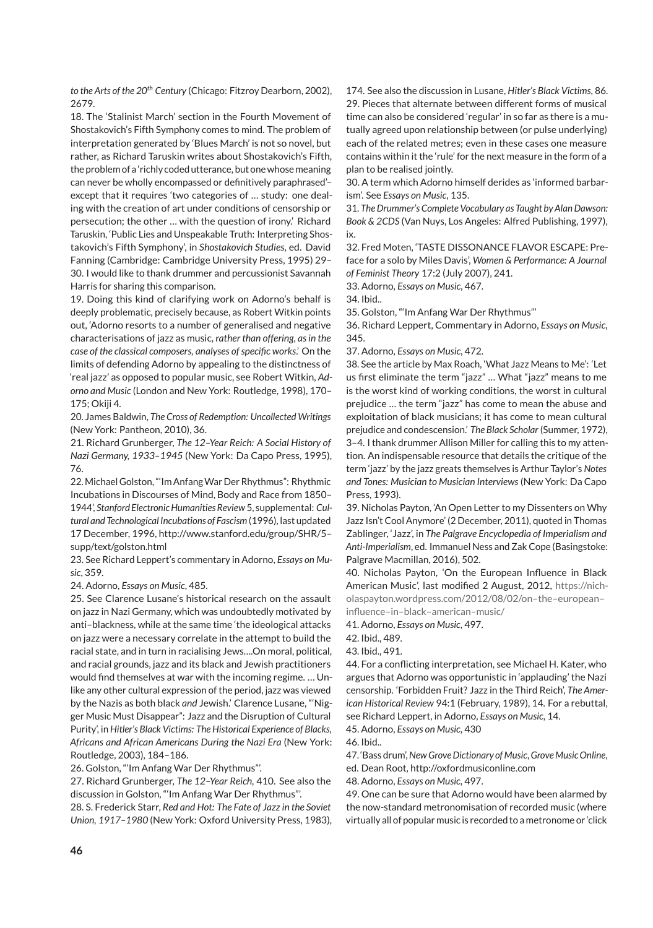*to the Arts of the 20th Century* (Chicago: Fitzroy Dearborn, 2002), 2679.

18. The 'Stalinist March' section in the Fourth Movement of Shostakovich's Fifth Symphony comes to mind. The problem of interpretation generated by 'Blues March' is not so novel, but rather, as Richard Taruskin writes about Shostakovich's Fifth, the problem of a 'richly coded utterance, but one whose meaning can never be wholly encompassed or definitively paraphrased'– except that it requires 'two categories of … study: one dealing with the creation of art under conditions of censorship or persecution; the other … with the question of irony.' Richard Taruskin, 'Public Lies and Unspeakable Truth: Interpreting Shostakovich's Fifth Symphony', in *Shostakovich Studies*, ed. David Fanning (Cambridge: Cambridge University Press, 1995) 29– 30. I would like to thank drummer and percussionist Savannah Harris for sharing this comparison.

19. Doing this kind of clarifying work on Adorno's behalf is deeply problematic, precisely because, as Robert Witkin points out, 'Adorno resorts to a number of generalised and negative characterisations of jazz as music, *rather than offering*, *as in the case of the classical composers, analyses of specific works*.' On the limits of defending Adorno by appealing to the distinctness of 'real jazz' as opposed to popular music, see Robert Witkin, *Adorno and Music* (London and New York: Routledge, 1998), 170– 175; Okiji 4.

20. James Baldwin, *The Cross of Redemption: Uncollected Writings* (New York: Pantheon, 2010), 36.

21. Richard Grunberger, *The 12–Year Reich: A Social History of Nazi Germany, 1933–1945* (New York: Da Capo Press, 1995), 76.

22.Michael Golston, "'Im AnfangWar Der Rhythmus": Rhythmic Incubations in Discourses of Mind, Body and Race from 1850– 1944', *Stanford ElectronicHumanities Review* 5, supplemental: *Cultural and Technological Incubations of Fascism*(1996), last updated 17 December, 1996, http://www.stanford.edu/group/SHR/5– supp/text/golston.html

23. See Richard Leppert's commentary in Adorno, *Essays on Music*, 359.

24. Adorno, *Essays on Music*, 485.

25. See Clarence Lusane's historical research on the assault on jazz in Nazi Germany, which was undoubtedly motivated by anti–blackness, while at the same time 'the ideological attacks on jazz were a necessary correlate in the attempt to build the racial state, and in turn in racialising Jews….On moral, political, and racial grounds, jazz and its black and Jewish practitioners would find themselves at war with the incoming regime. … Unlike any other cultural expression of the period, jazz was viewed by the Nazis as both black *and* Jewish.' Clarence Lusane, "'Nigger Music Must Disappear": Jazz and the Disruption of Cultural Purity', in *Hitler's Black Victims: The Historical Experience of Blacks, Africans and African Americans During the Nazi Era* (New York: Routledge, 2003), 184–186.

26. Golston, "'Im Anfang War Der Rhythmus"'.

27. Richard Grunberger, *The 12–Year Reich,* 410. See also the discussion in Golston, "'Im Anfang War Der Rhythmus"'.

28. S. Frederick Starr, *Red and Hot: The Fate of Jazz in the Soviet Union, 1917–1980* (New York: Oxford University Press, 1983), 174. See also the discussion in Lusane, *Hitler's Black Victims*, 86. 29. Pieces that alternate between different forms of musical time can also be considered 'regular' in so far as there is a mutually agreed upon relationship between (or pulse underlying) each of the related metres; even in these cases one measure contains within it the 'rule' for the next measure in the form of a plan to be realised jointly.

30. A term which Adorno himself derides as 'informed barbarism'. See *Essays on Music*, 135.

31. *The Drummer's Complete Vocabulary as Taught by Alan Dawson: Book & 2CDS* (Van Nuys, Los Angeles: Alfred Publishing, 1997), ix.

32. Fred Moten, 'TASTE DISSONANCE FLAVOR ESCAPE: Preface for a solo by Miles Davis', *Women & Performance: A Journal of Feminist Theory* 17:2 (July 2007), 241.

33. Adorno, *Essays on Music*, 467.

34. Ibid..

35. Golston, "'Im Anfang War Der Rhythmus"'

36. Richard Leppert, Commentary in Adorno, *Essays on Music*, 345.

37. Adorno, *Essays on Music*, 472.

38. See the article by Max Roach, 'What Jazz Means to Me': 'Let us first eliminate the term "jazz" … What "jazz" means to me is the worst kind of working conditions, the worst in cultural prejudice … the term "jazz" has come to mean the abuse and exploitation of black musicians; it has come to mean cultural prejudice and condescension.' *The Black Scholar* (Summer, 1972), 3–4. I thank drummer Allison Miller for calling this to my attention. An indispensable resource that details the critique of the term 'jazz' by the jazz greats themselves is Arthur Taylor's *Notes and Tones: Musician to Musician Interviews* (New York: Da Capo Press, 1993).

39. Nicholas Payton, 'An Open Letter to my Dissenters on Why Jazz Isn't Cool Anymore' (2 December, 2011), quoted in Thomas Zablinger, 'Jazz', in *The Palgrave Encyclopedia of Imperialism and Anti-Imperialism*, ed. Immanuel Ness and Zak Cope (Basingstoke: Palgrave Macmillan, 2016), 502.

40. Nicholas Payton, 'On the European Influence in Black American Music', last modified 2 August, 2012, [https://nich](https://nicholaspayton.wordpress.com/2012/08/02/on-the-european-influence-in-black-american-music/)[olaspayton.wordpress.com/2012/08/02/on–the–european–](https://nicholaspayton.wordpress.com/2012/08/02/on-the-european-influence-in-black-american-music/) [influence–in–black–american–music/](https://nicholaspayton.wordpress.com/2012/08/02/on-the-european-influence-in-black-american-music/)

41. Adorno, *Essays on Music*, 497.

42. Ibid., 489.

43. Ibid., 491.

44. For a conflicting interpretation, see Michael H. Kater, who argues that Adorno was opportunistic in 'applauding' the Nazi censorship. 'Forbidden Fruit? Jazz in the Third Reich', *The American Historical Review* 94:1 (February, 1989), 14. For a rebuttal, see Richard Leppert, in Adorno, *Essays on Music*, 14.

45. Adorno, *Essays on Music*, 430

46. Ibid..

47. 'Bass drum',*New Grove Dictionary of Music*,*Grove Music Online*,

ed. Dean Root, http://oxfordmusiconline.com

48. Adorno, *Essays on Music*, 497.

49. One can be sure that Adorno would have been alarmed by the now-standard metronomisation of recorded music (where virtually all of popular music is recorded to a metronome or 'click